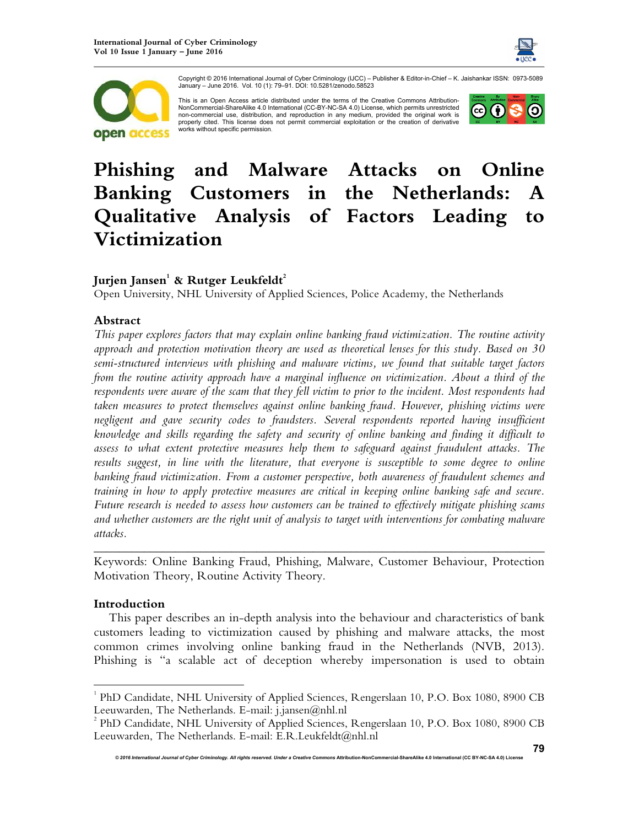



Copyright © 2016 International Journal of Cyber Criminology (IJCC) – Publisher & Editor-in-Chief – K. Jaishankar ISSN: 0973-5089 January – June 2016. Vol. 10 (1): 79–91. DOI: 10.5281/zenodo.58523

This is an Open Access article distributed under the terms of the Creative Commons Attribution-NonCommercial-ShareAlike 4.0 International (CC-BY-NC-SA 4.0) License, which permits unrestricted non-commercial use, distribution, and reproduction in any medium, provided the original work is properly cited. This license does not permit commercial exploitation or the creation of derivative works without specific permission.



# **Phishing and Malware Attacks on Online Banking Customers in the Netherlands: A Qualitative Analysis of Factors Leading to Victimization**

## **Jurjen Jansen<sup>1</sup> & Rutger Leukfeldt<sup>2</sup>**

Open University, NHL University of Applied Sciences, Police Academy, the Netherlands

## **Abstract**

*This paper explores factors that may explain online banking fraud victimization. The routine activity approach and protection motivation theory are used as theoretical lenses for this study. Based on 30 semi-structured interviews with phishing and malware victims, we found that suitable target factors from the routine activity approach have a marginal influence on victimization. About a third of the respondents were aware of the scam that they fell victim to prior to the incident. Most respondents had taken measures to protect themselves against online banking fraud. However, phishing victims were negligent and gave security codes to fraudsters. Several respondents reported having insufficient knowledge and skills regarding the safety and security of online banking and finding it difficult to assess to what extent protective measures help them to safeguard against fraudulent attacks. The*  results suggest, in line with the literature, that everyone is susceptible to some degree to online *banking fraud victimization. From a customer perspective, both awareness of fraudulent schemes and training in how to apply protective measures are critical in keeping online banking safe and secure. Future research is needed to assess how customers can be trained to effectively mitigate phishing scams and whether customers are the right unit of analysis to target with interventions for combating malware attacks.* 

*\_\_\_\_\_\_\_\_\_\_\_\_\_\_\_\_\_\_\_\_\_\_\_\_\_\_\_\_\_\_\_\_\_\_\_\_\_\_\_\_\_\_\_\_\_\_\_\_\_\_\_\_\_\_\_\_\_\_\_\_\_\_\_\_\_\_\_\_\_\_\_\_*  Keywords: Online Banking Fraud, Phishing, Malware, Customer Behaviour, Protection Motivation Theory, Routine Activity Theory.

### **Introduction**

 $\overline{a}$ 

This paper describes an in-depth analysis into the behaviour and characteristics of bank customers leading to victimization caused by phishing and malware attacks, the most common crimes involving online banking fraud in the Netherlands (NVB, 2013). Phishing is "a scalable act of deception whereby impersonation is used to obtain

<sup>&</sup>lt;sup>1</sup> PhD Candidate, NHL University of Applied Sciences, Rengerslaan 10, P.O. Box 1080, 8900 CB Leeuwarden, The Netherlands. E-mail: j.jansen@nhl.nl

<sup>&</sup>lt;sup>2</sup> PhD Candidate, NHL University of Applied Sciences, Rengerslaan 10, P.O. Box 1080, 8900 CB Leeuwarden, The Netherlands. E-mail: E.R.Leukfeldt@nhl.nl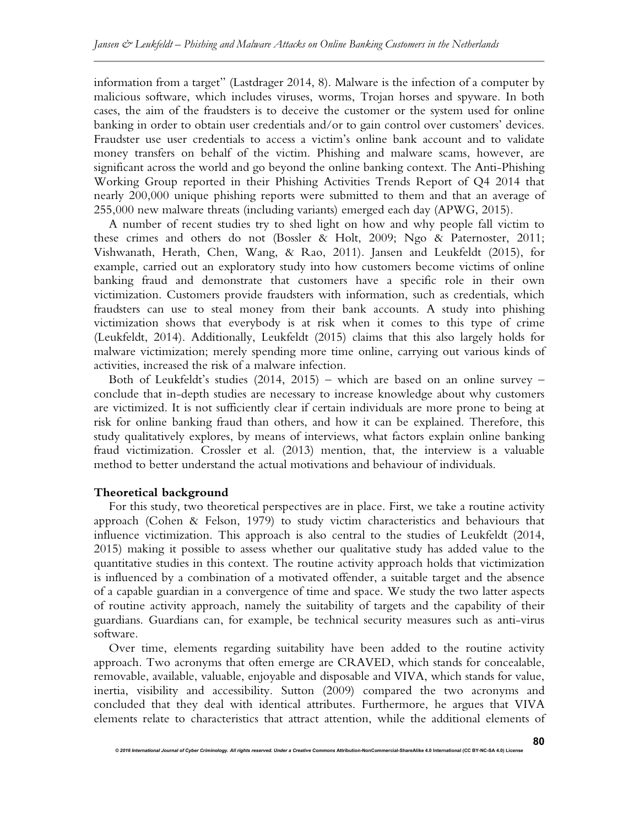information from a target" (Lastdrager 2014, 8). Malware is the infection of a computer by malicious software, which includes viruses, worms, Trojan horses and spyware. In both cases, the aim of the fraudsters is to deceive the customer or the system used for online banking in order to obtain user credentials and/or to gain control over customers' devices. Fraudster use user credentials to access a victim's online bank account and to validate money transfers on behalf of the victim. Phishing and malware scams, however, are significant across the world and go beyond the online banking context. The Anti-Phishing Working Group reported in their Phishing Activities Trends Report of Q4 2014 that nearly 200,000 unique phishing reports were submitted to them and that an average of 255,000 new malware threats (including variants) emerged each day (APWG, 2015).

A number of recent studies try to shed light on how and why people fall victim to these crimes and others do not (Bossler & Holt, 2009; Ngo & Paternoster, 2011; Vishwanath, Herath, Chen, Wang, & Rao, 2011). Jansen and Leukfeldt (2015), for example, carried out an exploratory study into how customers become victims of online banking fraud and demonstrate that customers have a specific role in their own victimization. Customers provide fraudsters with information, such as credentials, which fraudsters can use to steal money from their bank accounts. A study into phishing victimization shows that everybody is at risk when it comes to this type of crime (Leukfeldt, 2014). Additionally, Leukfeldt (2015) claims that this also largely holds for malware victimization; merely spending more time online, carrying out various kinds of activities, increased the risk of a malware infection.

Both of Leukfeldt's studies (2014, 2015) – which are based on an online survey – conclude that in-depth studies are necessary to increase knowledge about why customers are victimized. It is not sufficiently clear if certain individuals are more prone to being at risk for online banking fraud than others, and how it can be explained. Therefore, this study qualitatively explores, by means of interviews, what factors explain online banking fraud victimization. Crossler et al. (2013) mention, that, the interview is a valuable method to better understand the actual motivations and behaviour of individuals.

### **Theoretical background**

For this study, two theoretical perspectives are in place. First, we take a routine activity approach (Cohen & Felson, 1979) to study victim characteristics and behaviours that influence victimization. This approach is also central to the studies of Leukfeldt (2014, 2015) making it possible to assess whether our qualitative study has added value to the quantitative studies in this context. The routine activity approach holds that victimization is influenced by a combination of a motivated offender, a suitable target and the absence of a capable guardian in a convergence of time and space. We study the two latter aspects of routine activity approach, namely the suitability of targets and the capability of their guardians. Guardians can, for example, be technical security measures such as anti-virus software.

Over time, elements regarding suitability have been added to the routine activity approach. Two acronyms that often emerge are CRAVED, which stands for concealable, removable, available, valuable, enjoyable and disposable and VIVA, which stands for value, inertia, visibility and accessibility. Sutton (2009) compared the two acronyms and concluded that they deal with identical attributes. Furthermore, he argues that VIVA elements relate to characteristics that attract attention, while the additional elements of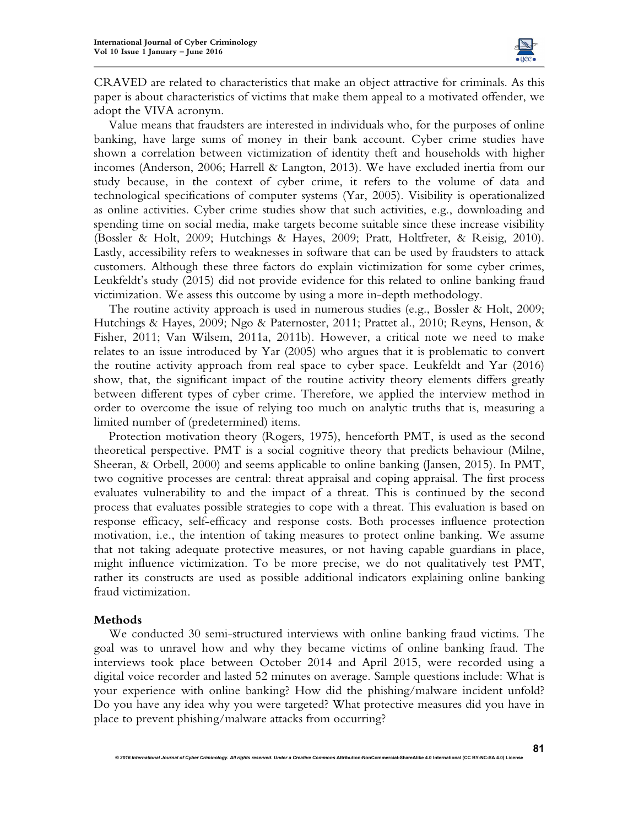

CRAVED are related to characteristics that make an object attractive for criminals. As this paper is about characteristics of victims that make them appeal to a motivated offender, we adopt the VIVA acronym.

Value means that fraudsters are interested in individuals who, for the purposes of online banking, have large sums of money in their bank account. Cyber crime studies have shown a correlation between victimization of identity theft and households with higher incomes (Anderson, 2006; Harrell & Langton, 2013). We have excluded inertia from our study because, in the context of cyber crime, it refers to the volume of data and technological specifications of computer systems (Yar, 2005). Visibility is operationalized as online activities. Cyber crime studies show that such activities, e.g., downloading and spending time on social media, make targets become suitable since these increase visibility (Bossler & Holt, 2009; Hutchings & Hayes, 2009; Pratt, Holtfreter, & Reisig, 2010). Lastly, accessibility refers to weaknesses in software that can be used by fraudsters to attack customers. Although these three factors do explain victimization for some cyber crimes, Leukfeldt's study (2015) did not provide evidence for this related to online banking fraud victimization. We assess this outcome by using a more in-depth methodology.

The routine activity approach is used in numerous studies (e.g., Bossler & Holt, 2009; Hutchings & Hayes, 2009; Ngo & Paternoster, 2011; Prattet al., 2010; Reyns, Henson, & Fisher, 2011; Van Wilsem, 2011a, 2011b). However, a critical note we need to make relates to an issue introduced by Yar (2005) who argues that it is problematic to convert the routine activity approach from real space to cyber space. Leukfeldt and Yar (2016) show, that, the significant impact of the routine activity theory elements differs greatly between different types of cyber crime. Therefore, we applied the interview method in order to overcome the issue of relying too much on analytic truths that is, measuring a limited number of (predetermined) items.

Protection motivation theory (Rogers, 1975), henceforth PMT, is used as the second theoretical perspective. PMT is a social cognitive theory that predicts behaviour (Milne, Sheeran, & Orbell, 2000) and seems applicable to online banking (Jansen, 2015). In PMT, two cognitive processes are central: threat appraisal and coping appraisal. The first process evaluates vulnerability to and the impact of a threat. This is continued by the second process that evaluates possible strategies to cope with a threat. This evaluation is based on response efficacy, self-efficacy and response costs. Both processes influence protection motivation, i.e., the intention of taking measures to protect online banking. We assume that not taking adequate protective measures, or not having capable guardians in place, might influence victimization. To be more precise, we do not qualitatively test PMT, rather its constructs are used as possible additional indicators explaining online banking fraud victimization.

### **Methods**

We conducted 30 semi-structured interviews with online banking fraud victims. The goal was to unravel how and why they became victims of online banking fraud. The interviews took place between October 2014 and April 2015, were recorded using a digital voice recorder and lasted 52 minutes on average. Sample questions include: What is your experience with online banking? How did the phishing/malware incident unfold? Do you have any idea why you were targeted? What protective measures did you have in place to prevent phishing/malware attacks from occurring?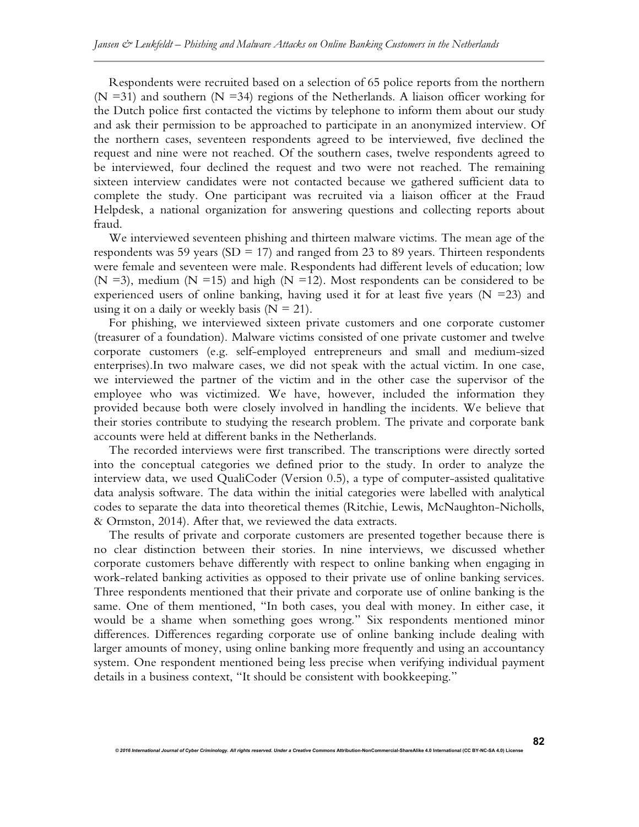Respondents were recruited based on a selection of 65 police reports from the northern (N = 31) and southern (N = 34) regions of the Netherlands. A liaison officer working for the Dutch police first contacted the victims by telephone to inform them about our study and ask their permission to be approached to participate in an anonymized interview. Of the northern cases, seventeen respondents agreed to be interviewed, five declined the request and nine were not reached. Of the southern cases, twelve respondents agreed to be interviewed, four declined the request and two were not reached. The remaining sixteen interview candidates were not contacted because we gathered sufficient data to complete the study. One participant was recruited via a liaison officer at the Fraud Helpdesk, a national organization for answering questions and collecting reports about fraud.

We interviewed seventeen phishing and thirteen malware victims. The mean age of the respondents was 59 years (SD = 17) and ranged from 23 to 89 years. Thirteen respondents were female and seventeen were male. Respondents had different levels of education; low (N =3), medium (N =15) and high (N =12). Most respondents can be considered to be experienced users of online banking, having used it for at least five years ( $N = 23$ ) and using it on a daily or weekly basis ( $N = 21$ ).

For phishing, we interviewed sixteen private customers and one corporate customer (treasurer of a foundation). Malware victims consisted of one private customer and twelve corporate customers (e.g. self-employed entrepreneurs and small and medium-sized enterprises).In two malware cases, we did not speak with the actual victim. In one case, we interviewed the partner of the victim and in the other case the supervisor of the employee who was victimized. We have, however, included the information they provided because both were closely involved in handling the incidents. We believe that their stories contribute to studying the research problem. The private and corporate bank accounts were held at different banks in the Netherlands.

The recorded interviews were first transcribed. The transcriptions were directly sorted into the conceptual categories we defined prior to the study. In order to analyze the interview data, we used QualiCoder (Version 0.5), a type of computer-assisted qualitative data analysis software. The data within the initial categories were labelled with analytical codes to separate the data into theoretical themes (Ritchie, Lewis, McNaughton-Nicholls, & Ormston, 2014). After that, we reviewed the data extracts.

The results of private and corporate customers are presented together because there is no clear distinction between their stories. In nine interviews, we discussed whether corporate customers behave differently with respect to online banking when engaging in work-related banking activities as opposed to their private use of online banking services. Three respondents mentioned that their private and corporate use of online banking is the same. One of them mentioned, "In both cases, you deal with money. In either case, it would be a shame when something goes wrong." Six respondents mentioned minor differences. Differences regarding corporate use of online banking include dealing with larger amounts of money, using online banking more frequently and using an accountancy system. One respondent mentioned being less precise when verifying individual payment details in a business context, "It should be consistent with bookkeeping."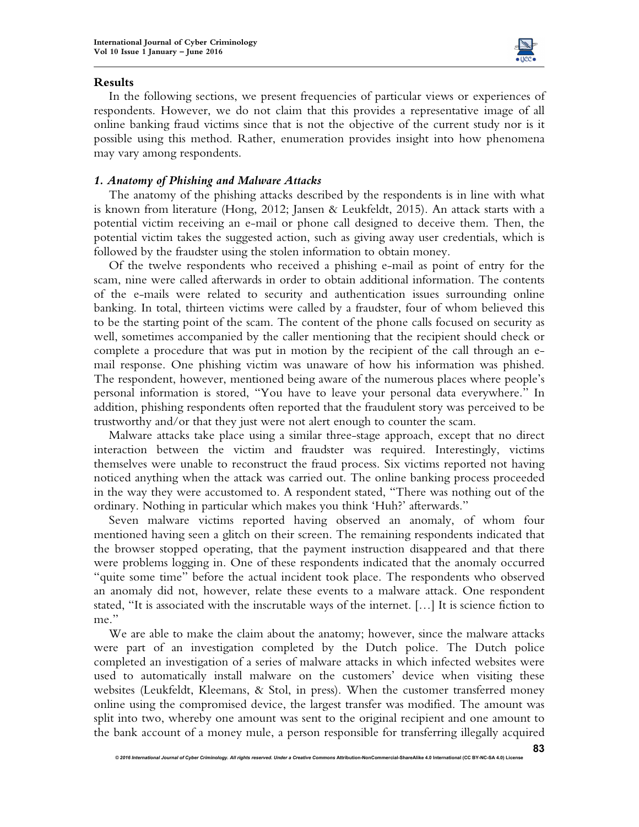

## **Results**

In the following sections, we present frequencies of particular views or experiences of respondents. However, we do not claim that this provides a representative image of all online banking fraud victims since that is not the objective of the current study nor is it possible using this method. Rather, enumeration provides insight into how phenomena may vary among respondents.

## *1. Anatomy of Phishing and Malware Attacks*

The anatomy of the phishing attacks described by the respondents is in line with what is known from literature (Hong, 2012; Jansen & Leukfeldt, 2015). An attack starts with a potential victim receiving an e-mail or phone call designed to deceive them. Then, the potential victim takes the suggested action, such as giving away user credentials, which is followed by the fraudster using the stolen information to obtain money.

Of the twelve respondents who received a phishing e-mail as point of entry for the scam, nine were called afterwards in order to obtain additional information. The contents of the e-mails were related to security and authentication issues surrounding online banking. In total, thirteen victims were called by a fraudster, four of whom believed this to be the starting point of the scam. The content of the phone calls focused on security as well, sometimes accompanied by the caller mentioning that the recipient should check or complete a procedure that was put in motion by the recipient of the call through an email response. One phishing victim was unaware of how his information was phished. The respondent, however, mentioned being aware of the numerous places where people's personal information is stored, "You have to leave your personal data everywhere." In addition, phishing respondents often reported that the fraudulent story was perceived to be trustworthy and/or that they just were not alert enough to counter the scam.

Malware attacks take place using a similar three-stage approach, except that no direct interaction between the victim and fraudster was required. Interestingly, victims themselves were unable to reconstruct the fraud process. Six victims reported not having noticed anything when the attack was carried out. The online banking process proceeded in the way they were accustomed to. A respondent stated, "There was nothing out of the ordinary. Nothing in particular which makes you think 'Huh?' afterwards."

Seven malware victims reported having observed an anomaly, of whom four mentioned having seen a glitch on their screen. The remaining respondents indicated that the browser stopped operating, that the payment instruction disappeared and that there were problems logging in. One of these respondents indicated that the anomaly occurred "quite some time" before the actual incident took place. The respondents who observed an anomaly did not, however, relate these events to a malware attack. One respondent stated, "It is associated with the inscrutable ways of the internet. […] It is science fiction to me."

We are able to make the claim about the anatomy; however, since the malware attacks were part of an investigation completed by the Dutch police. The Dutch police completed an investigation of a series of malware attacks in which infected websites were used to automatically install malware on the customers' device when visiting these websites (Leukfeldt, Kleemans, & Stol, in press). When the customer transferred money online using the compromised device, the largest transfer was modified. The amount was split into two, whereby one amount was sent to the original recipient and one amount to the bank account of a money mule, a person responsible for transferring illegally acquired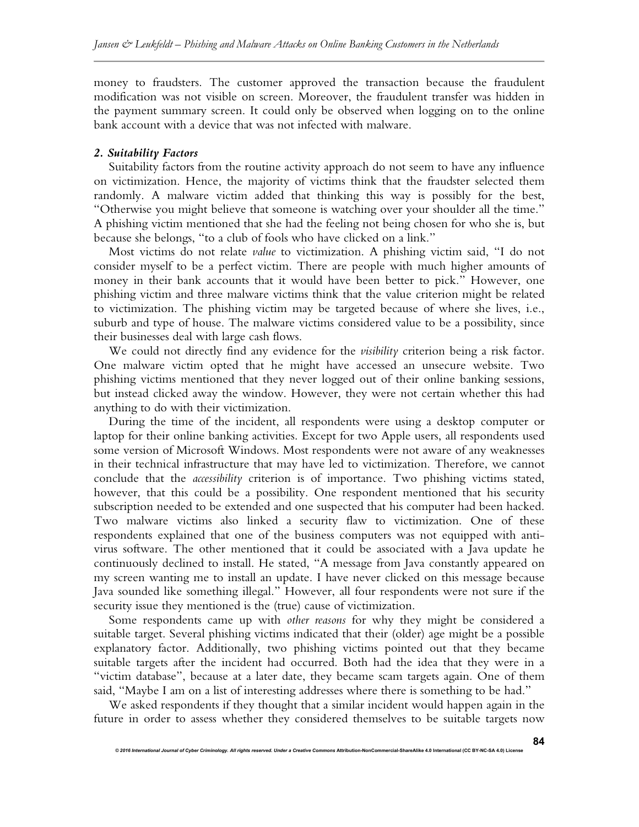money to fraudsters. The customer approved the transaction because the fraudulent modification was not visible on screen. Moreover, the fraudulent transfer was hidden in the payment summary screen. It could only be observed when logging on to the online bank account with a device that was not infected with malware.

## *2. Suitability Factors*

Suitability factors from the routine activity approach do not seem to have any influence on victimization. Hence, the majority of victims think that the fraudster selected them randomly. A malware victim added that thinking this way is possibly for the best, "Otherwise you might believe that someone is watching over your shoulder all the time." A phishing victim mentioned that she had the feeling not being chosen for who she is, but because she belongs, "to a club of fools who have clicked on a link."

Most victims do not relate *value* to victimization. A phishing victim said, "I do not consider myself to be a perfect victim. There are people with much higher amounts of money in their bank accounts that it would have been better to pick." However, one phishing victim and three malware victims think that the value criterion might be related to victimization. The phishing victim may be targeted because of where she lives, i.e., suburb and type of house. The malware victims considered value to be a possibility, since their businesses deal with large cash flows.

We could not directly find any evidence for the *visibility* criterion being a risk factor. One malware victim opted that he might have accessed an unsecure website. Two phishing victims mentioned that they never logged out of their online banking sessions, but instead clicked away the window. However, they were not certain whether this had anything to do with their victimization.

During the time of the incident, all respondents were using a desktop computer or laptop for their online banking activities. Except for two Apple users, all respondents used some version of Microsoft Windows. Most respondents were not aware of any weaknesses in their technical infrastructure that may have led to victimization. Therefore, we cannot conclude that the *accessibility* criterion is of importance. Two phishing victims stated, however, that this could be a possibility. One respondent mentioned that his security subscription needed to be extended and one suspected that his computer had been hacked. Two malware victims also linked a security flaw to victimization. One of these respondents explained that one of the business computers was not equipped with antivirus software. The other mentioned that it could be associated with a Java update he continuously declined to install. He stated, "A message from Java constantly appeared on my screen wanting me to install an update. I have never clicked on this message because Java sounded like something illegal." However, all four respondents were not sure if the security issue they mentioned is the (true) cause of victimization.

Some respondents came up with *other reasons* for why they might be considered a suitable target. Several phishing victims indicated that their (older) age might be a possible explanatory factor. Additionally, two phishing victims pointed out that they became suitable targets after the incident had occurred. Both had the idea that they were in a "victim database", because at a later date, they became scam targets again. One of them said, "Maybe I am on a list of interesting addresses where there is something to be had."

We asked respondents if they thought that a similar incident would happen again in the future in order to assess whether they considered themselves to be suitable targets now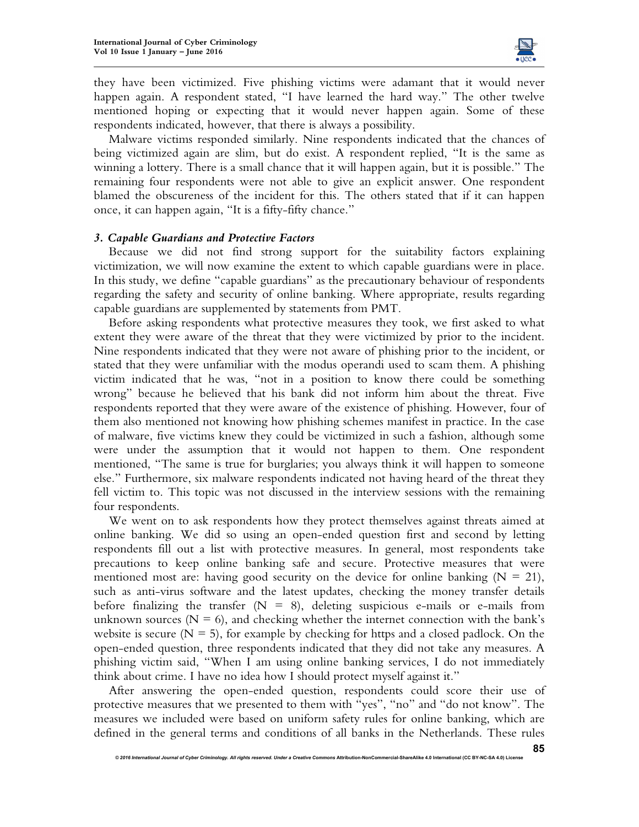

they have been victimized. Five phishing victims were adamant that it would never happen again. A respondent stated, "I have learned the hard way." The other twelve mentioned hoping or expecting that it would never happen again. Some of these respondents indicated, however, that there is always a possibility.

Malware victims responded similarly. Nine respondents indicated that the chances of being victimized again are slim, but do exist. A respondent replied, "It is the same as winning a lottery. There is a small chance that it will happen again, but it is possible." The remaining four respondents were not able to give an explicit answer. One respondent blamed the obscureness of the incident for this. The others stated that if it can happen once, it can happen again, "It is a fifty-fifty chance."

### *3. Capable Guardians and Protective Factors*

Because we did not find strong support for the suitability factors explaining victimization, we will now examine the extent to which capable guardians were in place. In this study, we define "capable guardians" as the precautionary behaviour of respondents regarding the safety and security of online banking. Where appropriate, results regarding capable guardians are supplemented by statements from PMT.

Before asking respondents what protective measures they took, we first asked to what extent they were aware of the threat that they were victimized by prior to the incident. Nine respondents indicated that they were not aware of phishing prior to the incident, or stated that they were unfamiliar with the modus operandi used to scam them. A phishing victim indicated that he was, "not in a position to know there could be something wrong" because he believed that his bank did not inform him about the threat. Five respondents reported that they were aware of the existence of phishing. However, four of them also mentioned not knowing how phishing schemes manifest in practice. In the case of malware, five victims knew they could be victimized in such a fashion, although some were under the assumption that it would not happen to them. One respondent mentioned, "The same is true for burglaries; you always think it will happen to someone else." Furthermore, six malware respondents indicated not having heard of the threat they fell victim to. This topic was not discussed in the interview sessions with the remaining four respondents.

We went on to ask respondents how they protect themselves against threats aimed at online banking. We did so using an open-ended question first and second by letting respondents fill out a list with protective measures. In general, most respondents take precautions to keep online banking safe and secure. Protective measures that were mentioned most are: having good security on the device for online banking  $(N = 21)$ , such as anti-virus software and the latest updates, checking the money transfer details before finalizing the transfer  $(N = 8)$ , deleting suspicious e-mails or e-mails from unknown sources ( $N = 6$ ), and checking whether the internet connection with the bank's website is secure  $(N = 5)$ , for example by checking for https and a closed padlock. On the open-ended question, three respondents indicated that they did not take any measures. A phishing victim said, "When I am using online banking services, I do not immediately think about crime. I have no idea how I should protect myself against it."

After answering the open-ended question, respondents could score their use of protective measures that we presented to them with "yes", "no" and "do not know". The measures we included were based on uniform safety rules for online banking, which are defined in the general terms and conditions of all banks in the Netherlands. These rules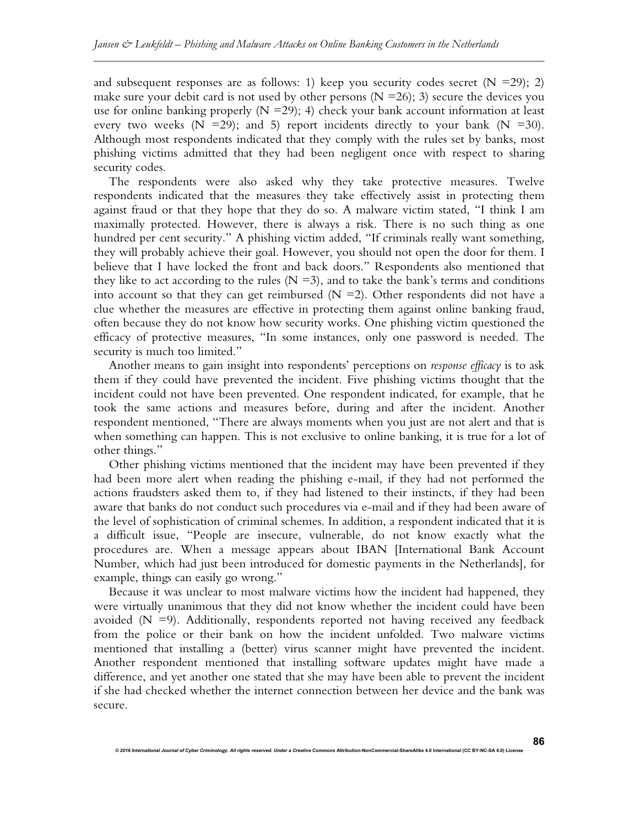and subsequent responses are as follows: 1) keep you security codes secret  $(N = 29)$ ; 2) make sure your debit card is not used by other persons  $(N = 26)$ ; 3) secure the devices you use for online banking properly  $(N = 29)$ ; 4) check your bank account information at least every two weeks  $(N = 29)$ ; and 5) report incidents directly to your bank  $(N = 30)$ . Although most respondents indicated that they comply with the rules set by banks, most phishing victims admitted that they had been negligent once with respect to sharing security codes.

The respondents were also asked why they take protective measures. Twelve respondents indicated that the measures they take effectively assist in protecting them against fraud or that they hope that they do so. A malware victim stated, "I think I am maximally protected. However, there is always a risk. There is no such thing as one hundred per cent security." A phishing victim added, "If criminals really want something, they will probably achieve their goal. However, you should not open the door for them. I believe that I have locked the front and back doors." Respondents also mentioned that they like to act according to the rules ( $N = 3$ ), and to take the bank's terms and conditions into account so that they can get reimbursed ( $N = 2$ ). Other respondents did not have a clue whether the measures are effective in protecting them against online banking fraud, often because they do not know how security works. One phishing victim questioned the efficacy of protective measures, "In some instances, only one password is needed. The security is much too limited."

Another means to gain insight into respondents' perceptions on *response efficacy* is to ask them if they could have prevented the incident. Five phishing victims thought that the incident could not have been prevented. One respondent indicated, for example, that he took the same actions and measures before, during and after the incident. Another respondent mentioned, "There are always moments when you just are not alert and that is when something can happen. This is not exclusive to online banking, it is true for a lot of other things."

Other phishing victims mentioned that the incident may have been prevented if they had been more alert when reading the phishing e-mail, if they had not performed the actions fraudsters asked them to, if they had listened to their instincts, if they had been aware that banks do not conduct such procedures via e-mail and if they had been aware of the level of sophistication of criminal schemes. In addition, a respondent indicated that it is a difficult issue, "People are insecure, vulnerable, do not know exactly what the procedures are. When a message appears about IBAN [International Bank Account Number, which had just been introduced for domestic payments in the Netherlands], for example, things can easily go wrong."

Because it was unclear to most malware victims how the incident had happened, they were virtually unanimous that they did not know whether the incident could have been avoided  $(N = 9)$ . Additionally, respondents reported not having received any feedback from the police or their bank on how the incident unfolded. Two malware victims mentioned that installing a (better) virus scanner might have prevented the incident. Another respondent mentioned that installing software updates might have made a difference, and yet another one stated that she may have been able to prevent the incident if she had checked whether the internet connection between her device and the bank was secure.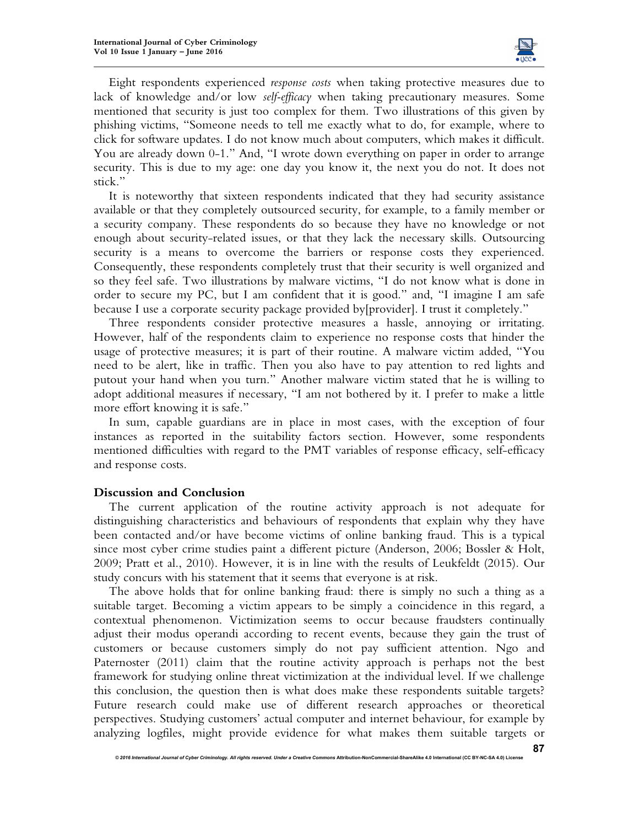

Eight respondents experienced *response costs* when taking protective measures due to lack of knowledge and/or low *self-efficacy* when taking precautionary measures. Some mentioned that security is just too complex for them. Two illustrations of this given by phishing victims, "Someone needs to tell me exactly what to do, for example, where to click for software updates. I do not know much about computers, which makes it difficult. You are already down 0-1." And, "I wrote down everything on paper in order to arrange security. This is due to my age: one day you know it, the next you do not. It does not stick."

It is noteworthy that sixteen respondents indicated that they had security assistance available or that they completely outsourced security, for example, to a family member or a security company. These respondents do so because they have no knowledge or not enough about security-related issues, or that they lack the necessary skills. Outsourcing security is a means to overcome the barriers or response costs they experienced. Consequently, these respondents completely trust that their security is well organized and so they feel safe. Two illustrations by malware victims, "I do not know what is done in order to secure my PC, but I am confident that it is good." and, "I imagine I am safe because I use a corporate security package provided by[provider]. I trust it completely."

Three respondents consider protective measures a hassle, annoying or irritating. However, half of the respondents claim to experience no response costs that hinder the usage of protective measures; it is part of their routine. A malware victim added, "You need to be alert, like in traffic. Then you also have to pay attention to red lights and putout your hand when you turn." Another malware victim stated that he is willing to adopt additional measures if necessary, "I am not bothered by it. I prefer to make a little more effort knowing it is safe."

In sum, capable guardians are in place in most cases, with the exception of four instances as reported in the suitability factors section. However, some respondents mentioned difficulties with regard to the PMT variables of response efficacy, self-efficacy and response costs.

## **Discussion and Conclusion**

The current application of the routine activity approach is not adequate for distinguishing characteristics and behaviours of respondents that explain why they have been contacted and/or have become victims of online banking fraud. This is a typical since most cyber crime studies paint a different picture (Anderson, 2006; Bossler & Holt, 2009; Pratt et al., 2010). However, it is in line with the results of Leukfeldt (2015). Our study concurs with his statement that it seems that everyone is at risk.

The above holds that for online banking fraud: there is simply no such a thing as a suitable target. Becoming a victim appears to be simply a coincidence in this regard, a contextual phenomenon. Victimization seems to occur because fraudsters continually adjust their modus operandi according to recent events, because they gain the trust of customers or because customers simply do not pay sufficient attention. Ngo and Paternoster (2011) claim that the routine activity approach is perhaps not the best framework for studying online threat victimization at the individual level. If we challenge this conclusion, the question then is what does make these respondents suitable targets? Future research could make use of different research approaches or theoretical perspectives. Studying customers' actual computer and internet behaviour, for example by analyzing logfiles, might provide evidence for what makes them suitable targets or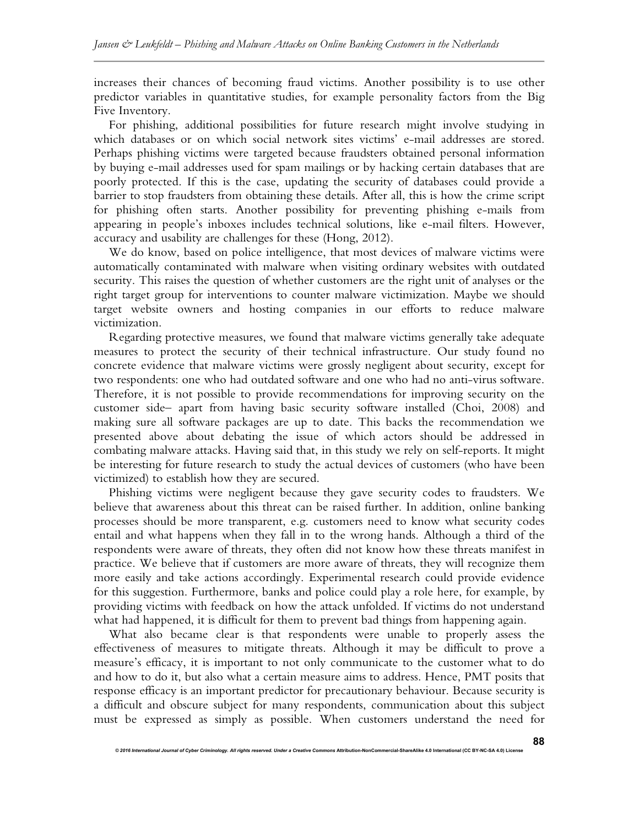increases their chances of becoming fraud victims. Another possibility is to use other predictor variables in quantitative studies, for example personality factors from the Big Five Inventory.

For phishing, additional possibilities for future research might involve studying in which databases or on which social network sites victims' e-mail addresses are stored. Perhaps phishing victims were targeted because fraudsters obtained personal information by buying e-mail addresses used for spam mailings or by hacking certain databases that are poorly protected. If this is the case, updating the security of databases could provide a barrier to stop fraudsters from obtaining these details. After all, this is how the crime script for phishing often starts. Another possibility for preventing phishing e-mails from appearing in people's inboxes includes technical solutions, like e-mail filters. However, accuracy and usability are challenges for these (Hong, 2012).

We do know, based on police intelligence, that most devices of malware victims were automatically contaminated with malware when visiting ordinary websites with outdated security. This raises the question of whether customers are the right unit of analyses or the right target group for interventions to counter malware victimization. Maybe we should target website owners and hosting companies in our efforts to reduce malware victimization.

Regarding protective measures, we found that malware victims generally take adequate measures to protect the security of their technical infrastructure. Our study found no concrete evidence that malware victims were grossly negligent about security, except for two respondents: one who had outdated software and one who had no anti-virus software. Therefore, it is not possible to provide recommendations for improving security on the customer side– apart from having basic security software installed (Choi, 2008) and making sure all software packages are up to date. This backs the recommendation we presented above about debating the issue of which actors should be addressed in combating malware attacks. Having said that, in this study we rely on self-reports. It might be interesting for future research to study the actual devices of customers (who have been victimized) to establish how they are secured.

Phishing victims were negligent because they gave security codes to fraudsters. We believe that awareness about this threat can be raised further. In addition, online banking processes should be more transparent, e.g. customers need to know what security codes entail and what happens when they fall in to the wrong hands. Although a third of the respondents were aware of threats, they often did not know how these threats manifest in practice. We believe that if customers are more aware of threats, they will recognize them more easily and take actions accordingly. Experimental research could provide evidence for this suggestion. Furthermore, banks and police could play a role here, for example, by providing victims with feedback on how the attack unfolded. If victims do not understand what had happened, it is difficult for them to prevent bad things from happening again.

What also became clear is that respondents were unable to properly assess the effectiveness of measures to mitigate threats. Although it may be difficult to prove a measure's efficacy, it is important to not only communicate to the customer what to do and how to do it, but also what a certain measure aims to address. Hence, PMT posits that response efficacy is an important predictor for precautionary behaviour. Because security is a difficult and obscure subject for many respondents, communication about this subject must be expressed as simply as possible. When customers understand the need for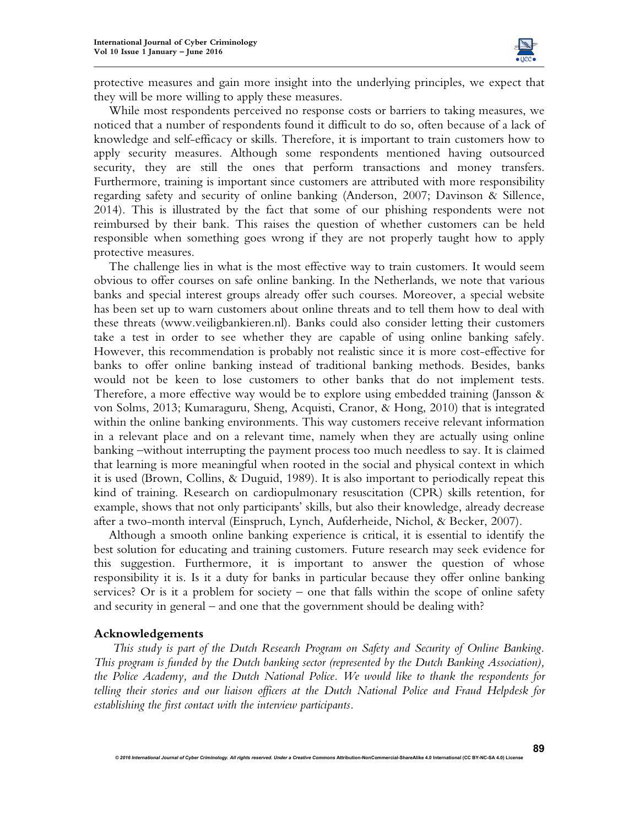

protective measures and gain more insight into the underlying principles, we expect that they will be more willing to apply these measures.

While most respondents perceived no response costs or barriers to taking measures, we noticed that a number of respondents found it difficult to do so, often because of a lack of knowledge and self-efficacy or skills. Therefore, it is important to train customers how to apply security measures. Although some respondents mentioned having outsourced security, they are still the ones that perform transactions and money transfers. Furthermore, training is important since customers are attributed with more responsibility regarding safety and security of online banking (Anderson, 2007; Davinson & Sillence, 2014). This is illustrated by the fact that some of our phishing respondents were not reimbursed by their bank. This raises the question of whether customers can be held responsible when something goes wrong if they are not properly taught how to apply protective measures.

The challenge lies in what is the most effective way to train customers. It would seem obvious to offer courses on safe online banking. In the Netherlands, we note that various banks and special interest groups already offer such courses. Moreover, a special website has been set up to warn customers about online threats and to tell them how to deal with these threats (www.veiligbankieren.nl). Banks could also consider letting their customers take a test in order to see whether they are capable of using online banking safely. However, this recommendation is probably not realistic since it is more cost-effective for banks to offer online banking instead of traditional banking methods. Besides, banks would not be keen to lose customers to other banks that do not implement tests. Therefore, a more effective way would be to explore using embedded training (Jansson & von Solms, 2013; Kumaraguru, Sheng, Acquisti, Cranor, & Hong, 2010) that is integrated within the online banking environments. This way customers receive relevant information in a relevant place and on a relevant time, namely when they are actually using online banking –without interrupting the payment process too much needless to say. It is claimed that learning is more meaningful when rooted in the social and physical context in which it is used (Brown, Collins, & Duguid, 1989). It is also important to periodically repeat this kind of training. Research on cardiopulmonary resuscitation (CPR) skills retention, for example, shows that not only participants' skills, but also their knowledge, already decrease after a two-month interval (Einspruch, Lynch, Aufderheide, Nichol, & Becker, 2007).

Although a smooth online banking experience is critical, it is essential to identify the best solution for educating and training customers. Future research may seek evidence for this suggestion. Furthermore, it is important to answer the question of whose responsibility it is. Is it a duty for banks in particular because they offer online banking services? Or is it a problem for society – one that falls within the scope of online safety and security in general – and one that the government should be dealing with?

### **Acknowledgements**

*This study is part of the Dutch Research Program on Safety and Security of Online Banking. This program is funded by the Dutch banking sector (represented by the Dutch Banking Association), the Police Academy, and the Dutch National Police. We would like to thank the respondents for telling their stories and our liaison officers at the Dutch National Police and Fraud Helpdesk for establishing the first contact with the interview participants.*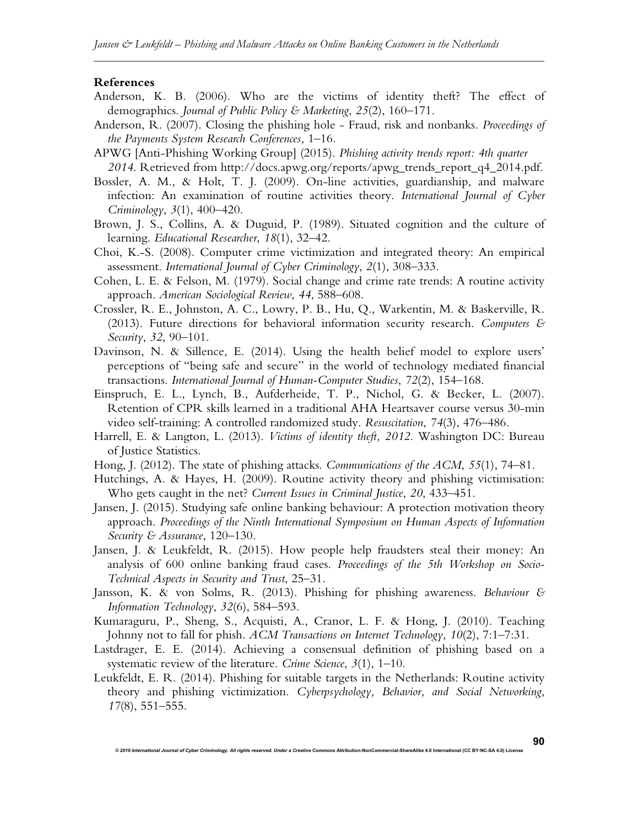#### **References**

- Anderson, K. B. (2006). Who are the victims of identity theft? The effect of demographics. *Journal of Public Policy & Marketing*, *25*(2), 160–171.
- Anderson, R. (2007). Closing the phishing hole Fraud, risk and nonbanks. *Proceedings of the Payments System Research Conferences,* 1–16*.*
- APWG [Anti-Phishing Working Group] (2015). *Phishing activity trends report: 4th quarter 2014*. Retrieved from http://docs.apwg.org/reports/apwg\_trends\_report\_q4\_2014.pdf.
- Bossler, A. M., & Holt, T. J. (2009). On-line activities, guardianship, and malware infection: An examination of routine activities theory. *International Journal of Cyber Criminology*, *3*(1), 400–420.
- Brown, J. S., Collins, A. & Duguid, P. (1989). Situated cognition and the culture of learning. *Educational Researcher*, *18*(1), 32–42.
- Choi, K.-S. (2008). Computer crime victimization and integrated theory: An empirical assessment. *International Journal of Cyber Criminology*, *2*(1), 308–333.
- Cohen, L. E. & Felson, M. (1979). Social change and crime rate trends: A routine activity approach. *American Sociological Review*, *44*, 588–608.
- Crossler, R. E., Johnston, A. C., Lowry, P. B., Hu, Q., Warkentin, M. & Baskerville, R. (2013). Future directions for behavioral information security research. *Computers & Security*, *32*, 90–101.
- Davinson, N. & Sillence, E. (2014). Using the health belief model to explore users' perceptions of "being safe and secure" in the world of technology mediated financial transactions. *International Journal of Human-Computer Studies*, *72*(2), 154–168.
- Einspruch, E. L., Lynch, B., Aufderheide, T. P., Nichol, G. & Becker, L. (2007). Retention of CPR skills learned in a traditional AHA Heartsaver course versus 30-min video self-training: A controlled randomized study. *Resuscitation*, *74*(3), 476–486.
- Harrell, E. & Langton, L. (2013). *Victims of identity theft, 2012*. Washington DC: Bureau of Justice Statistics.
- Hong, J. (2012). The state of phishing attacks. *Communications of the ACM*, *55*(1), 74–81.
- Hutchings, A. & Hayes, H. (2009). Routine activity theory and phishing victimisation: Who gets caught in the net? *Current Issues in Criminal Justice*, *20*, 433–451.
- Jansen, J. (2015). Studying safe online banking behaviour: A protection motivation theory approach. *Proceedings of the Ninth International Symposium on Human Aspects of Information Security & Assurance*, 120–130.
- Jansen, J. & Leukfeldt, R. (2015). How people help fraudsters steal their money: An analysis of 600 online banking fraud cases. *Proceedings of the 5th Workshop on Socio-Technical Aspects in Security and Trust*, 25–31*.*
- Jansson, K. & von Solms, R. (2013). Phishing for phishing awareness. *Behaviour & Information Technology*, *32*(6), 584–593.
- Kumaraguru, P., Sheng, S., Acquisti, A., Cranor, L. F. & Hong, J. (2010). Teaching Johnny not to fall for phish. *ACM Transactions on Internet Technology*, *10*(2), 7:1–7:31.
- Lastdrager, E. E. (2014). Achieving a consensual definition of phishing based on a systematic review of the literature. *Crime Science*, *3*(1), 1–10.
- Leukfeldt, E. R. (2014). Phishing for suitable targets in the Netherlands: Routine activity theory and phishing victimization. *Cyberpsychology, Behavior, and Social Networking*, *17*(8), 551–555.